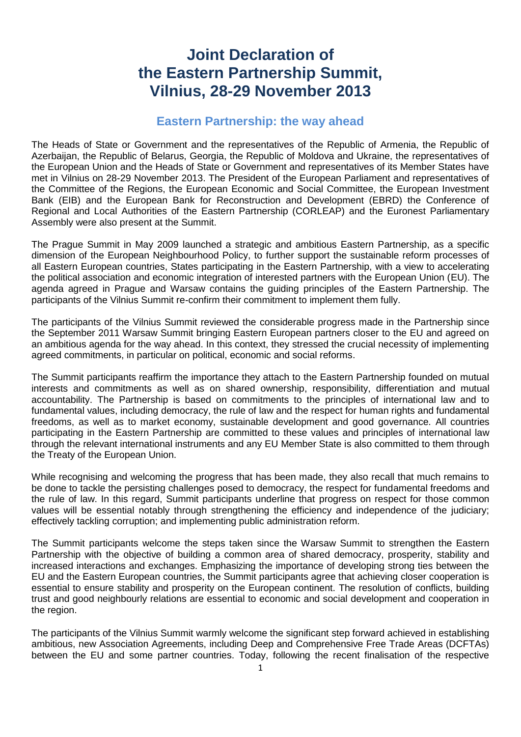# **Joint Declaration of the Eastern Partnership Summit, Vilnius, 28-29 November 2013**

### **Eastern Partnership: the way ahead**

The Heads of State or Government and the representatives of the Republic of Armenia, the Republic of Azerbaijan, the Republic of Belarus, Georgia, the Republic of Moldova and Ukraine, the representatives of the European Union and the Heads of State or Government and representatives of its Member States have met in Vilnius on 28-29 November 2013. The President of the European Parliament and representatives of the Committee of the Regions, the European Economic and Social Committee, the European Investment Bank (EIB) and the European Bank for Reconstruction and Development (EBRD) the Conference of Regional and Local Authorities of the Eastern Partnership (CORLEAP) and the Euronest Parliamentary Assembly were also present at the Summit.

The Prague Summit in May 2009 launched a strategic and ambitious Eastern Partnership, as a specific dimension of the European Neighbourhood Policy, to further support the sustainable reform processes of all Eastern European countries, States participating in the Eastern Partnership, with a view to accelerating the political association and economic integration of interested partners with the European Union (EU). The agenda agreed in Prague and Warsaw contains the guiding principles of the Eastern Partnership. The participants of the Vilnius Summit re-confirm their commitment to implement them fully.

The participants of the Vilnius Summit reviewed the considerable progress made in the Partnership since the September 2011 Warsaw Summit bringing Eastern European partners closer to the EU and agreed on an ambitious agenda for the way ahead. In this context, they stressed the crucial necessity of implementing agreed commitments, in particular on political, economic and social reforms.

The Summit participants reaffirm the importance they attach to the Eastern Partnership founded on mutual interests and commitments as well as on shared ownership, responsibility, differentiation and mutual accountability. The Partnership is based on commitments to the principles of international law and to fundamental values, including democracy, the rule of law and the respect for human rights and fundamental freedoms, as well as to market economy, sustainable development and good governance. All countries participating in the Eastern Partnership are committed to these values and principles of international law through the relevant international instruments and any EU Member State is also committed to them through the Treaty of the European Union.

While recognising and welcoming the progress that has been made, they also recall that much remains to be done to tackle the persisting challenges posed to democracy, the respect for fundamental freedoms and the rule of law. In this regard, Summit participants underline that progress on respect for those common values will be essential notably through strengthening the efficiency and independence of the judiciary; effectively tackling corruption; and implementing public administration reform.

The Summit participants welcome the steps taken since the Warsaw Summit to strengthen the Eastern Partnership with the objective of building a common area of shared democracy, prosperity, stability and increased interactions and exchanges. Emphasizing the importance of developing strong ties between the EU and the Eastern European countries, the Summit participants agree that achieving closer cooperation is essential to ensure stability and prosperity on the European continent. The resolution of conflicts, building trust and good neighbourly relations are essential to economic and social development and cooperation in the region.

The participants of the Vilnius Summit warmly welcome the significant step forward achieved in establishing ambitious, new Association Agreements, including Deep and Comprehensive Free Trade Areas (DCFTAs) between the EU and some partner countries. Today, following the recent finalisation of the respective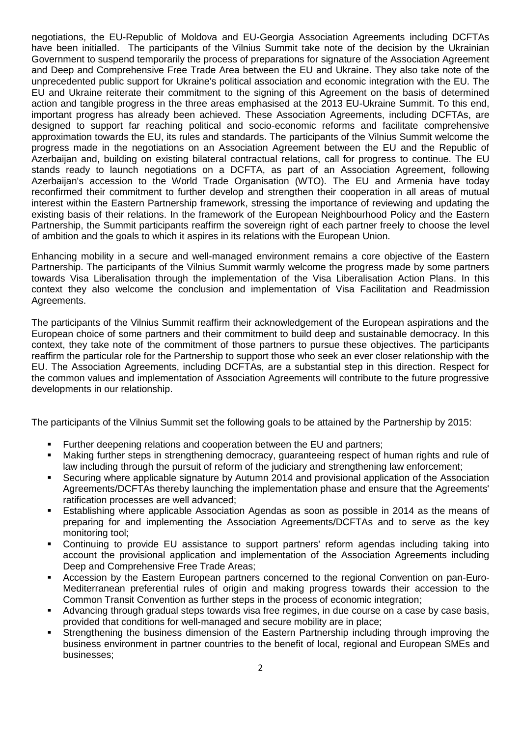negotiations, the EU-Republic of Moldova and EU-Georgia Association Agreements including DCFTAs have been initialled.The participants of the Vilnius Summit take note of the decision by the Ukrainian Government to suspend temporarily the process of preparations for signature of the Association Agreement and Deep and Comprehensive Free Trade Area between the EU and Ukraine. They also take note of the unprecedented public support for Ukraine's political association and economic integration with the EU. The EU and Ukraine reiterate their commitment to the signing of this Agreement on the basis of determined action and tangible progress in the three areas emphasised at the 2013 EU-Ukraine Summit. To this end, important progress has already been achieved. These Association Agreements, including DCFTAs, are designed to support far reaching political and socio-economic reforms and facilitate comprehensive approximation towards the EU, its rules and standards. The participants of the Vilnius Summit welcome the progress made in the negotiations on an Association Agreement between the EU and the Republic of Azerbaijan and, building on existing bilateral contractual relations, call for progress to continue. The EU stands ready to launch negotiations on a DCFTA, as part of an Association Agreement, following Azerbaijan's accession to the World Trade Organisation (WTO). The EU and Armenia have today reconfirmed their commitment to further develop and strengthen their cooperation in all areas of mutual interest within the Eastern Partnership framework, stressing the importance of reviewing and updating the existing basis of their relations. In the framework of the European Neighbourhood Policy and the Eastern Partnership, the Summit participants reaffirm the sovereign right of each partner freely to choose the level of ambition and the goals to which it aspires in its relations with the European Union.

Enhancing mobility in a secure and well-managed environment remains a core objective of the Eastern Partnership. The participants of the Vilnius Summit warmly welcome the progress made by some partners towards Visa Liberalisation through the implementation of the Visa Liberalisation Action Plans. In this context they also welcome the conclusion and implementation of Visa Facilitation and Readmission Agreements.

The participants of the Vilnius Summit reaffirm their acknowledgement of the European aspirations and the European choice of some partners and their commitment to build deep and sustainable democracy. In this context, they take note of the commitment of those partners to pursue these objectives. The participants reaffirm the particular role for the Partnership to support those who seek an ever closer relationship with the EU. The Association Agreements, including DCFTAs, are a substantial step in this direction. Respect for the common values and implementation of Association Agreements will contribute to the future progressive developments in our relationship.

The participants of the Vilnius Summit set the following goals to be attained by the Partnership by 2015:

- Further deepening relations and cooperation between the EU and partners;
- Making further steps in strengthening democracy, guaranteeing respect of human rights and rule of law including through the pursuit of reform of the judiciary and strengthening law enforcement;
- Securing where applicable signature by Autumn 2014 and provisional application of the Association Agreements/DCFTAs thereby launching the implementation phase and ensure that the Agreements' ratification processes are well advanced;
- Establishing where applicable Association Agendas as soon as possible in 2014 as the means of preparing for and implementing the Association Agreements/DCFTAs and to serve as the key monitoring tool;
- Continuing to provide EU assistance to support partners' reform agendas including taking into account the provisional application and implementation of the Association Agreements including Deep and Comprehensive Free Trade Areas;
- Accession by the Eastern European partners concerned to the regional Convention on pan-Euro-Mediterranean preferential rules of origin and making progress towards their accession to the Common Transit Convention as further steps in the process of economic integration;
- Advancing through gradual steps towards visa free regimes, in due course on a case by case basis, provided that conditions for well-managed and secure mobility are in place;
- Strengthening the business dimension of the Eastern Partnership including through improving the business environment in partner countries to the benefit of local, regional and European SMEs and businesses;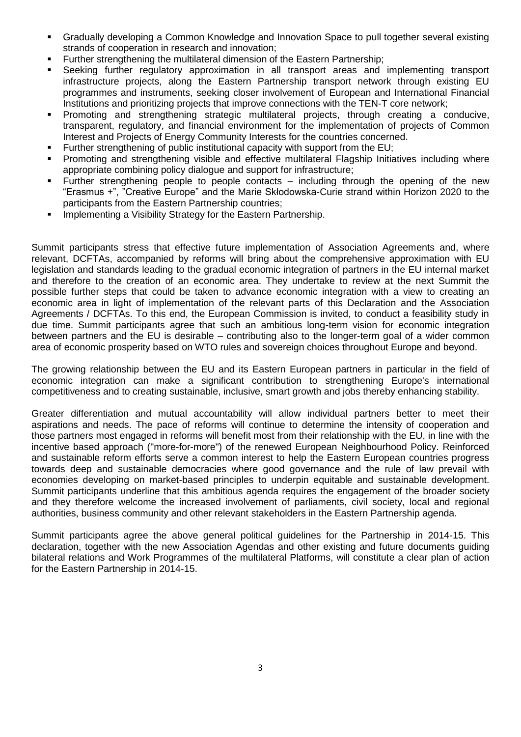- Gradually developing a Common Knowledge and Innovation Space to pull together several existing strands of cooperation in research and innovation;
- Further strengthening the multilateral dimension of the Eastern Partnership;
- Seeking further regulatory approximation in all transport areas and implementing transport infrastructure projects, along the Eastern Partnership transport network through existing EU programmes and instruments, seeking closer involvement of European and International Financial Institutions and prioritizing projects that improve connections with the TEN-T core network;
- Promoting and strengthening strategic multilateral projects, through creating a conducive, transparent, regulatory, and financial environment for the implementation of projects of Common Interest and Projects of Energy Community Interests for the countries concerned.
- Further strengthening of public institutional capacity with support from the EU;
- Promoting and strengthening visible and effective multilateral Flagship Initiatives including where appropriate combining policy dialogue and support for infrastructure;
- Further strengthening people to people contacts including through the opening of the new "Erasmus +", "Creative Europe" and the Marie Skłodowska-Curie strand within Horizon 2020 to the participants from the Eastern Partnership countries;
- **IMPLEMENT IMPLE A** Visibility Strategy for the Eastern Partnership.

Summit participants stress that effective future implementation of Association Agreements and, where relevant, DCFTAs, accompanied by reforms will bring about the comprehensive approximation with EU legislation and standards leading to the gradual economic integration of partners in the EU internal market and therefore to the creation of an economic area. They undertake to review at the next Summit the possible further steps that could be taken to advance economic integration with a view to creating an economic area in light of implementation of the relevant parts of this Declaration and the Association Agreements / DCFTAs. To this end, the European Commission is invited, to conduct a feasibility study in due time. Summit participants agree that such an ambitious long-term vision for economic integration between partners and the EU is desirable – contributing also to the longer-term goal of a wider common area of economic prosperity based on WTO rules and sovereign choices throughout Europe and beyond.

The growing relationship between the EU and its Eastern European partners in particular in the field of economic integration can make a significant contribution to strengthening Europe's international competitiveness and to creating sustainable, inclusive, smart growth and jobs thereby enhancing stability.

Greater differentiation and mutual accountability will allow individual partners better to meet their aspirations and needs. The pace of reforms will continue to determine the intensity of cooperation and those partners most engaged in reforms will benefit most from their relationship with the EU, in line with the incentive based approach ("more-for-more") of the renewed European Neighbourhood Policy. Reinforced and sustainable reform efforts serve a common interest to help the Eastern European countries progress towards deep and sustainable democracies where good governance and the rule of law prevail with economies developing on market-based principles to underpin equitable and sustainable development. Summit participants underline that this ambitious agenda requires the engagement of the broader society and they therefore welcome the increased involvement of parliaments, civil society, local and regional authorities, business community and other relevant stakeholders in the Eastern Partnership agenda.

Summit participants agree the above general political guidelines for the Partnership in 2014-15. This declaration, together with the new Association Agendas and other existing and future documents guiding bilateral relations and Work Programmes of the multilateral Platforms, will constitute a clear plan of action for the Eastern Partnership in 2014-15.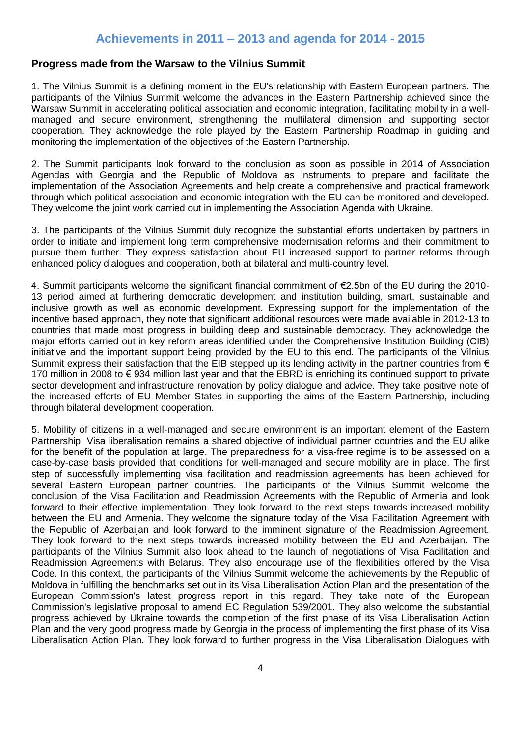# **Achievements in 2011 – 2013 and agenda for 2014 - 2015**

#### **Progress made from the Warsaw to the Vilnius Summit**

1. The Vilnius Summit is a defining moment in the EU's relationship with Eastern European partners. The participants of the Vilnius Summit welcome the advances in the Eastern Partnership achieved since the Warsaw Summit in accelerating political association and economic integration, facilitating mobility in a wellmanaged and secure environment, strengthening the multilateral dimension and supporting sector cooperation. They acknowledge the role played by the Eastern Partnership Roadmap in guiding and monitoring the implementation of the objectives of the Eastern Partnership.

2. The Summit participants look forward to the conclusion as soon as possible in 2014 of Association Agendas with Georgia and the Republic of Moldova as instruments to prepare and facilitate the implementation of the Association Agreements and help create a comprehensive and practical framework through which political association and economic integration with the EU can be monitored and developed. They welcome the joint work carried out in implementing the Association Agenda with Ukraine.

3. The participants of the Vilnius Summit duly recognize the substantial efforts undertaken by partners in order to initiate and implement long term comprehensive modernisation reforms and their commitment to pursue them further. They express satisfaction about EU increased support to partner reforms through enhanced policy dialogues and cooperation, both at bilateral and multi-country level.

4. Summit participants welcome the significant financial commitment of €2.5bn of the EU during the 2010- 13 period aimed at furthering democratic development and institution building, smart, sustainable and inclusive growth as well as economic development. Expressing support for the implementation of the incentive based approach, they note that significant additional resources were made available in 2012-13 to countries that made most progress in building deep and sustainable democracy. They acknowledge the major efforts carried out in key reform areas identified under the Comprehensive Institution Building (CIB) initiative and the important support being provided by the EU to this end. The participants of the Vilnius Summit express their satisfaction that the EIB stepped up its lending activity in the partner countries from  $\epsilon$ 170 million in 2008 to € 934 million last year and that the EBRD is enriching its continued support to private sector development and infrastructure renovation by policy dialogue and advice. They take positive note of the increased efforts of EU Member States in supporting the aims of the Eastern Partnership, including through bilateral development cooperation.

5. Mobility of citizens in a well-managed and secure environment is an important element of the Eastern Partnership. Visa liberalisation remains a shared objective of individual partner countries and the EU alike for the benefit of the population at large. The preparedness for a visa-free regime is to be assessed on a case-by-case basis provided that conditions for well-managed and secure mobility are in place. The first step of successfully implementing visa facilitation and readmission agreements has been achieved for several Eastern European partner countries. The participants of the Vilnius Summit welcome the conclusion of the Visa Facilitation and Readmission Agreements with the Republic of Armenia and look forward to their effective implementation. They look forward to the next steps towards increased mobility between the EU and Armenia. They welcome the signature today of the Visa Facilitation Agreement with the Republic of Azerbaijan and look forward to the imminent signature of the Readmission Agreement. They look forward to the next steps towards increased mobility between the EU and Azerbaijan. The participants of the Vilnius Summit also look ahead to the launch of negotiations of Visa Facilitation and Readmission Agreements with Belarus. They also encourage use of the flexibilities offered by the Visa Code. In this context, the participants of the Vilnius Summit welcome the achievements by the Republic of Moldova in fulfilling the benchmarks set out in its Visa Liberalisation Action Plan and the presentation of the European Commission's latest progress report in this regard. They take note of the European Commission's legislative proposal to amend EC Regulation 539/2001. They also welcome the substantial progress achieved by Ukraine towards the completion of the first phase of its Visa Liberalisation Action Plan and the very good progress made by Georgia in the process of implementing the first phase of its Visa Liberalisation Action Plan. They look forward to further progress in the Visa Liberalisation Dialogues with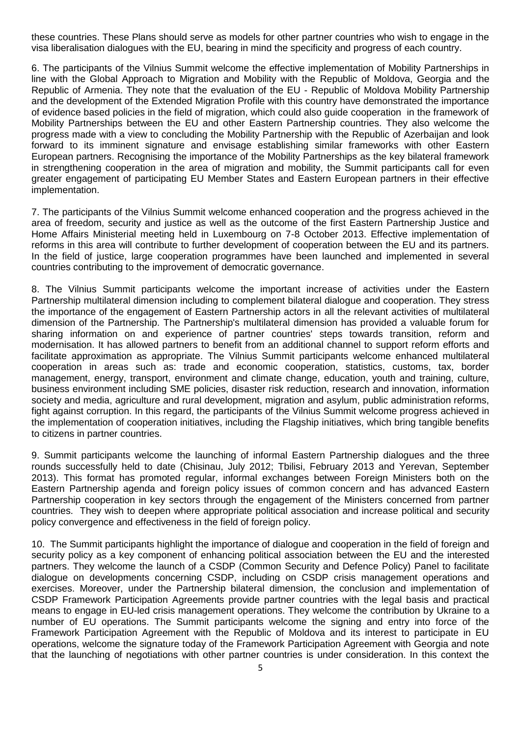these countries. These Plans should serve as models for other partner countries who wish to engage in the visa liberalisation dialogues with the EU, bearing in mind the specificity and progress of each country.

6. The participants of the Vilnius Summit welcome the effective implementation of Mobility Partnerships in line with the Global Approach to Migration and Mobility with the Republic of Moldova, Georgia and the Republic of Armenia. They note that the evaluation of the EU - Republic of Moldova Mobility Partnership and the development of the Extended Migration Profile with this country have demonstrated the importance of evidence based policies in the field of migration, which could also guide cooperation in the framework of Mobility Partnerships between the EU and other Eastern Partnership countries. They also welcome the progress made with a view to concluding the Mobility Partnership with the Republic of Azerbaijan and look forward to its imminent signature and envisage establishing similar frameworks with other Eastern European partners. Recognising the importance of the Mobility Partnerships as the key bilateral framework in strengthening cooperation in the area of migration and mobility, the Summit participants call for even greater engagement of participating EU Member States and Eastern European partners in their effective implementation.

7. The participants of the Vilnius Summit welcome enhanced cooperation and the progress achieved in the area of freedom, security and justice as well as the outcome of the first Eastern Partnership Justice and Home Affairs Ministerial meeting held in Luxembourg on 7-8 October 2013. Effective implementation of reforms in this area will contribute to further development of cooperation between the EU and its partners. In the field of justice, large cooperation programmes have been launched and implemented in several countries contributing to the improvement of democratic governance.

8. The Vilnius Summit participants welcome the important increase of activities under the Eastern Partnership multilateral dimension including to complement bilateral dialogue and cooperation. They stress the importance of the engagement of Eastern Partnership actors in all the relevant activities of multilateral dimension of the Partnership. The Partnership's multilateral dimension has provided a valuable forum for sharing information on and experience of partner countries' steps towards transition, reform and modernisation. It has allowed partners to benefit from an additional channel to support reform efforts and facilitate approximation as appropriate. The Vilnius Summit participants welcome enhanced multilateral cooperation in areas such as: trade and economic cooperation, statistics, customs, tax, border management, energy, transport, environment and climate change, education, youth and training, culture, business environment including SME policies, disaster risk reduction, research and innovation, information society and media, agriculture and rural development, migration and asylum, public administration reforms, fight against corruption. In this regard, the participants of the Vilnius Summit welcome progress achieved in the implementation of cooperation initiatives, including the Flagship initiatives, which bring tangible benefits to citizens in partner countries.

9. Summit participants welcome the launching of informal Eastern Partnership dialogues and the three rounds successfully held to date (Chisinau, July 2012; Tbilisi, February 2013 and Yerevan, September 2013). This format has promoted regular, informal exchanges between Foreign Ministers both on the Eastern Partnership agenda and foreign policy issues of common concern and has advanced Eastern Partnership cooperation in key sectors through the engagement of the Ministers concerned from partner countries. They wish to deepen where appropriate political association and increase political and security policy convergence and effectiveness in the field of foreign policy.

10. The Summit participants highlight the importance of dialogue and cooperation in the field of foreign and security policy as a key component of enhancing political association between the EU and the interested partners. They welcome the launch of a CSDP (Common Security and Defence Policy) Panel to facilitate dialogue on developments concerning CSDP, including on CSDP crisis management operations and exercises. Moreover, under the Partnership bilateral dimension, the conclusion and implementation of CSDP Framework Participation Agreements provide partner countries with the legal basis and practical means to engage in EU-led crisis management operations. They welcome the contribution by Ukraine to a number of EU operations. The Summit participants welcome the signing and entry into force of the Framework Participation Agreement with the Republic of Moldova and its interest to participate in EU operations, welcome the signature today of the Framework Participation Agreement with Georgia and note that the launching of negotiations with other partner countries is under consideration. In this context the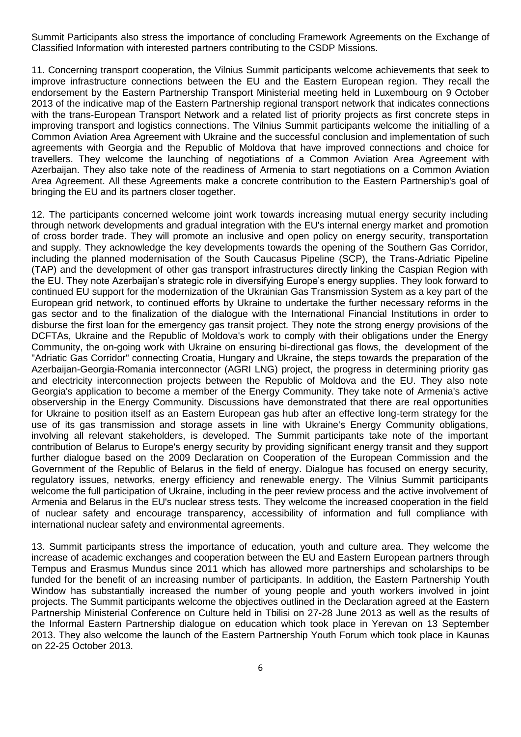Summit Participants also stress the importance of concluding Framework Agreements on the Exchange of Classified Information with interested partners contributing to the CSDP Missions.

11. Concerning transport cooperation, the Vilnius Summit participants welcome achievements that seek to improve infrastructure connections between the EU and the Eastern European region. They recall the endorsement by the Eastern Partnership Transport Ministerial meeting held in Luxembourg on 9 October 2013 of the indicative map of the Eastern Partnership regional transport network that indicates connections with the trans-European Transport Network and a related list of priority projects as first concrete steps in improving transport and logistics connections. The Vilnius Summit participants welcome the initialling of a Common Aviation Area Agreement with Ukraine and the successful conclusion and implementation of such agreements with Georgia and the Republic of Moldova that have improved connections and choice for travellers. They welcome the launching of negotiations of a Common Aviation Area Agreement with Azerbaijan. They also take note of the readiness of Armenia to start negotiations on a Common Aviation Area Agreement. All these Agreements make a concrete contribution to the Eastern Partnership's goal of bringing the EU and its partners closer together.

12. The participants concerned welcome joint work towards increasing mutual energy security including through network developments and gradual integration with the EU's internal energy market and promotion of cross border trade. They will promote an inclusive and open policy on energy security, transportation and supply. They acknowledge the key developments towards the opening of the Southern Gas Corridor, including the planned modernisation of the South Caucasus Pipeline (SCP), the Trans-Adriatic Pipeline (TAP) and the development of other gas transport infrastructures directly linking the Caspian Region with the EU. They note Azerbaijan's strategic role in diversifying Europe's energy supplies. They look forward to continued EU support for the modernization of the Ukrainian Gas Transmission System as a key part of the European grid network, to continued efforts by Ukraine to undertake the further necessary reforms in the gas sector and to the finalization of the dialogue with the International Financial Institutions in order to disburse the first loan for the emergency gas transit project. They note the strong energy provisions of the DCFTAs, Ukraine and the Republic of Moldova's work to comply with their obligations under the Energy Community, the on-going work with Ukraine on ensuring bi-directional gas flows, the development of the "Adriatic Gas Corridor" connecting Croatia, Hungary and Ukraine, the steps towards the preparation of the Azerbaijan-Georgia-Romania interconnector (AGRI LNG) project, the progress in determining priority gas and electricity interconnection projects between the Republic of Moldova and the EU. They also note Georgia's application to become a member of the Energy Community. They take note of Armenia's active observership in the Energy Community. Discussions have demonstrated that there are real opportunities for Ukraine to position itself as an Eastern European gas hub after an effective long-term strategy for the use of its gas transmission and storage assets in line with Ukraine's Energy Community obligations, involving all relevant stakeholders, is developed. The Summit participants take note of the important contribution of Belarus to Europe's energy security by providing significant energy transit and they support further dialogue based on the 2009 Declaration on Cooperation of the European Commission and the Government of the Republic of Belarus in the field of energy. Dialogue has focused on energy security, regulatory issues, networks, energy efficiency and renewable energy. The Vilnius Summit participants welcome the full participation of Ukraine, including in the peer review process and the active involvement of Armenia and Belarus in the EU's nuclear stress tests. They welcome the increased cooperation in the field of nuclear safety and encourage transparency, accessibility of information and full compliance with international nuclear safety and environmental agreements.

13. Summit participants stress the importance of education, youth and culture area. They welcome the increase of academic exchanges and cooperation between the EU and Eastern European partners through Tempus and Erasmus Mundus since 2011 which has allowed more partnerships and scholarships to be funded for the benefit of an increasing number of participants. In addition, the Eastern Partnership Youth Window has substantially increased the number of young people and youth workers involved in joint projects. The Summit participants welcome the objectives outlined in the Declaration agreed at the Eastern Partnership Ministerial Conference on Culture held in Tbilisi on 27-28 June 2013 as well as the results of the Informal Eastern Partnership dialogue on education which took place in Yerevan on 13 September 2013. They also welcome the launch of the Eastern Partnership Youth Forum which took place in Kaunas on 22-25 October 2013.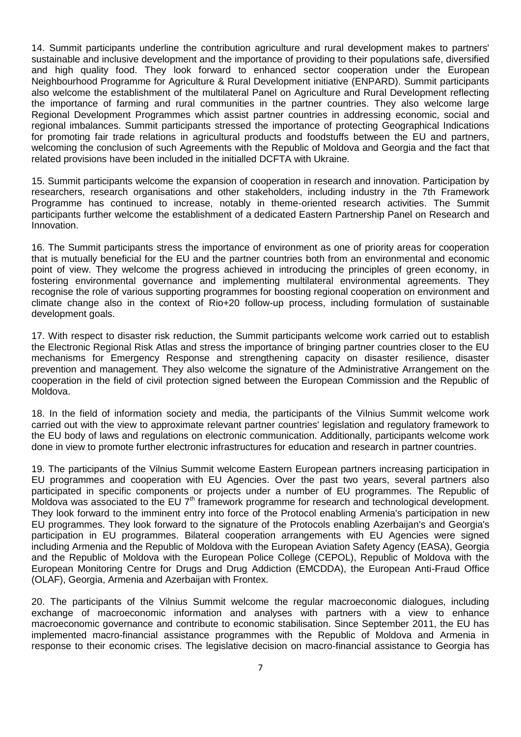14. Summit participants underline the contribution agriculture and rural development makes to partners' sustainable and inclusive development and the importance of providing to their populations safe, diversified and high quality food. They look forward to enhanced sector cooperation under the European Neighbourhood Programme for Agriculture & Rural Development initiative (ENPARD). Summit participants also welcome the establishment of the multilateral Panel on Agriculture and Rural Development reflecting the importance of farming and rural communities in the partner countries. They also welcome large Regional Development Programmes which assist partner countries in addressing economic, social and regional imbalances. Summit participants stressed the importance of protecting Geographical Indications for promoting fair trade relations in agricultural products and foodstuffs between the EU and partners, welcoming the conclusion of such Agreements with the Republic of Moldova and Georgia and the fact that related provisions have been included in the initialled DCFTA with Ukraine*.*

15. Summit participants welcome the expansion of cooperation in research and innovation. Participation by researchers, research organisations and other stakeholders, including industry in the 7th Framework Programme has continued to increase, notably in theme-oriented research activities. The Summit participants further welcome the establishment of a dedicated Eastern Partnership Panel on Research and Innovation.

16. The Summit participants stress the importance of environment as one of priority areas for cooperation that is mutually beneficial for the EU and the partner countries both from an environmental and economic point of view. They welcome the progress achieved in introducing the principles of green economy, in fostering environmental governance and implementing multilateral environmental agreements. They recognise the role of various supporting programmes for boosting regional cooperation on environment and climate change also in the context of Rio+20 follow-up process, including formulation of sustainable development goals.

17. With respect to disaster risk reduction, the Summit participants welcome work carried out to establish the Electronic Regional Risk Atlas and stress the importance of bringing partner countries closer to the EU mechanisms for Emergency Response and strengthening capacity on disaster resilience, disaster prevention and management. They also welcome the signature of the Administrative Arrangement on the cooperation in the field of civil protection signed between the European Commission and the Republic of Moldova.

18. In the field of information society and media, the participants of the Vilnius Summit welcome work carried out with the view to approximate relevant partner countries' legislation and regulatory framework to the EU body of laws and regulations on electronic communication. Additionally, participants welcome work done in view to promote further electronic infrastructures for education and research in partner countries.

19. The participants of the Vilnius Summit welcome Eastern European partners increasing participation in EU programmes and cooperation with EU Agencies. Over the past two years, several partners also participated in specific components or projects under a number of EU programmes. The Republic of Moldova was associated to the EU  $7<sup>th</sup>$  framework programme for research and technological development. They look forward to the imminent entry into force of the Protocol enabling Armenia's participation in new EU programmes. They look forward to the signature of the Protocols enabling Azerbaijan's and Georgia's participation in EU programmes. Bilateral cooperation arrangements with EU Agencies were signed including Armenia and the Republic of Moldova with the European Aviation Safety Agency (EASA), Georgia and the Republic of Moldova with the European Police College (CEPOL), Republic of Moldova with the European Monitoring Centre for Drugs and Drug Addiction (EMCDDA), the European Anti-Fraud Office (OLAF), Georgia, Armenia and Azerbaijan with Frontex.

20. The participants of the Vilnius Summit welcome the regular macroeconomic dialogues, including exchange of macroeconomic information and analyses with partners with a view to enhance macroeconomic governance and contribute to economic stabilisation. Since September 2011, the EU has implemented macro-financial assistance programmes with the Republic of Moldova and Armenia in response to their economic crises. The legislative decision on macro-financial assistance to Georgia has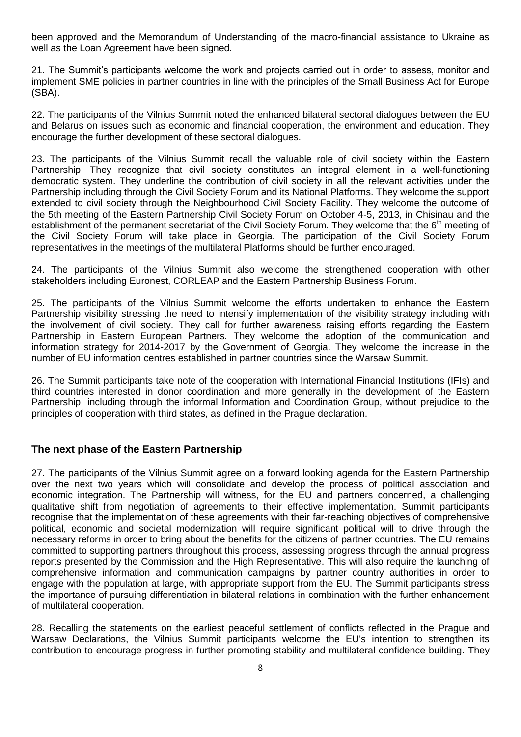been approved and the Memorandum of Understanding of the macro-financial assistance to Ukraine as well as the Loan Agreement have been signed.

21. The Summit's participants welcome the work and projects carried out in order to assess, monitor and implement SME policies in partner countries in line with the principles of the Small Business Act for Europe (SBA).

22. The participants of the Vilnius Summit noted the enhanced bilateral sectoral dialogues between the EU and Belarus on issues such as economic and financial cooperation, the environment and education. They encourage the further development of these sectoral dialogues.

23. The participants of the Vilnius Summit recall the valuable role of civil society within the Eastern Partnership. They recognize that civil society constitutes an integral element in a well-functioning democratic system. They underline the contribution of civil society in all the relevant activities under the Partnership including through the Civil Society Forum and its National Platforms. They welcome the support extended to civil society through the Neighbourhood Civil Society Facility. They welcome the outcome of the 5th meeting of the Eastern Partnership Civil Society Forum on October 4-5, 2013, in Chisinau and the establishment of the permanent secretariat of the Civil Society Forum. They welcome that the 6<sup>th</sup> meeting of the Civil Society Forum will take place in Georgia. The participation of the Civil Society Forum representatives in the meetings of the multilateral Platforms should be further encouraged.

24. The participants of the Vilnius Summit also welcome the strengthened cooperation with other stakeholders including Euronest, CORLEAP and the Eastern Partnership Business Forum.

25. The participants of the Vilnius Summit welcome the efforts undertaken to enhance the Eastern Partnership visibility stressing the need to intensify implementation of the visibility strategy including with the involvement of civil society. They call for further awareness raising efforts regarding the Eastern Partnership in Eastern European Partners. They welcome the adoption of the communication and information strategy for 2014-2017 by the Government of Georgia. They welcome the increase in the number of EU information centres established in partner countries since the Warsaw Summit.

26. The Summit participants take note of the cooperation with International Financial Institutions (IFIs) and third countries interested in donor coordination and more generally in the development of the Eastern Partnership, including through the informal Information and Coordination Group, without prejudice to the principles of cooperation with third states, as defined in the Prague declaration.

## **The next phase of the Eastern Partnership**

27. The participants of the Vilnius Summit agree on a forward looking agenda for the Eastern Partnership over the next two years which will consolidate and develop the process of political association and economic integration. The Partnership will witness, for the EU and partners concerned, a challenging qualitative shift from negotiation of agreements to their effective implementation. Summit participants recognise that the implementation of these agreements with their far-reaching objectives of comprehensive political, economic and societal modernization will require significant political will to drive through the necessary reforms in order to bring about the benefits for the citizens of partner countries. The EU remains committed to supporting partners throughout this process, assessing progress through the annual progress reports presented by the Commission and the High Representative. This will also require the launching of comprehensive information and communication campaigns by partner country authorities in order to engage with the population at large, with appropriate support from the EU. The Summit participants stress the importance of pursuing differentiation in bilateral relations in combination with the further enhancement of multilateral cooperation.

28. Recalling the statements on the earliest peaceful settlement of conflicts reflected in the Prague and Warsaw Declarations, the Vilnius Summit participants welcome the EU's intention to strengthen its contribution to encourage progress in further promoting stability and multilateral confidence building. They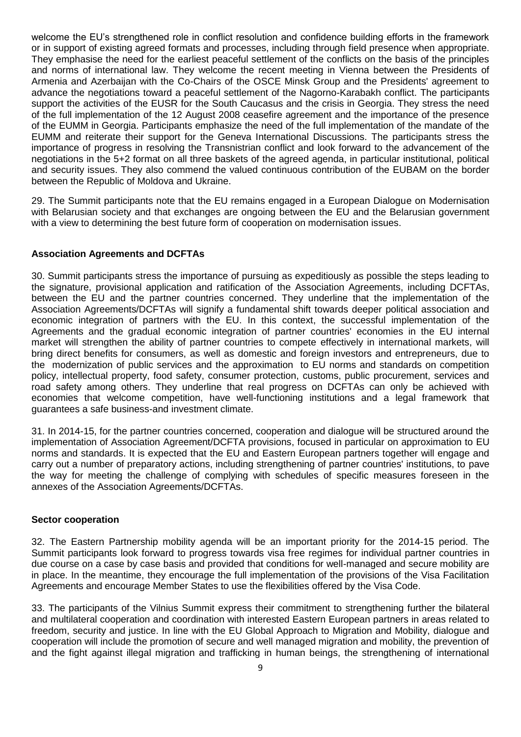welcome the EU's strengthened role in conflict resolution and confidence building efforts in the framework or in support of existing agreed formats and processes, including through field presence when appropriate. They emphasise the need for the earliest peaceful settlement of the conflicts on the basis of the principles and norms of international law. They welcome the recent meeting in Vienna between the Presidents of Armenia and Azerbaijan with the Co-Chairs of the OSCE Minsk Group and the Presidents' agreement to advance the negotiations toward a peaceful settlement of the Nagorno-Karabakh conflict. The participants support the activities of the EUSR for the South Caucasus and the crisis in Georgia. They stress the need of the full implementation of the 12 August 2008 ceasefire agreement and the importance of the presence of the EUMM in Georgia. Participants emphasize the need of the full implementation of the mandate of the EUMM and reiterate their support for the Geneva International Discussions. The participants stress the importance of progress in resolving the Transnistrian conflict and look forward to the advancement of the negotiations in the 5+2 format on all three baskets of the agreed agenda, in particular institutional, political and security issues. They also commend the valued continuous contribution of the EUBAM on the border between the Republic of Moldova and Ukraine.

29. The Summit participants note that the EU remains engaged in a European Dialogue on Modernisation with Belarusian society and that exchanges are ongoing between the EU and the Belarusian government with a view to determining the best future form of cooperation on modernisation issues.

#### **Association Agreements and DCFTAs**

30. Summit participants stress the importance of pursuing as expeditiously as possible the steps leading to the signature, provisional application and ratification of the Association Agreements, including DCFTAs, between the EU and the partner countries concerned. They underline that the implementation of the Association Agreements/DCFTAs will signify a fundamental shift towards deeper political association and economic integration of partners with the EU. In this context, the successful implementation of the Agreements and the gradual economic integration of partner countries' economies in the EU internal market will strengthen the ability of partner countries to compete effectively in international markets, will bring direct benefits for consumers, as well as domestic and foreign investors and entrepreneurs, due to the modernization of public services and the approximation to EU norms and standards on competition policy, intellectual property, food safety, consumer protection, customs, public procurement, services and road safety among others. They underline that real progress on DCFTAs can only be achieved with economies that welcome competition, have well-functioning institutions and a legal framework that guarantees a safe business-and investment climate.

31. In 2014-15, for the partner countries concerned, cooperation and dialogue will be structured around the implementation of Association Agreement/DCFTA provisions, focused in particular on approximation to EU norms and standards. It is expected that the EU and Eastern European partners together will engage and carry out a number of preparatory actions, including strengthening of partner countries' institutions, to pave the way for meeting the challenge of complying with schedules of specific measures foreseen in the annexes of the Association Agreements/DCFTAs.

#### **Sector cooperation**

32. The Eastern Partnership mobility agenda will be an important priority for the 2014-15 period. The Summit participants look forward to progress towards visa free regimes for individual partner countries in due course on a case by case basis and provided that conditions for well-managed and secure mobility are in place. In the meantime, they encourage the full implementation of the provisions of the Visa Facilitation Agreements and encourage Member States to use the flexibilities offered by the Visa Code.

33. The participants of the Vilnius Summit express their commitment to strengthening further the bilateral and multilateral cooperation and coordination with interested Eastern European partners in areas related to freedom, security and justice. In line with the EU Global Approach to Migration and Mobility, dialogue and cooperation will include the promotion of secure and well managed migration and mobility, the prevention of and the fight against illegal migration and trafficking in human beings, the strengthening of international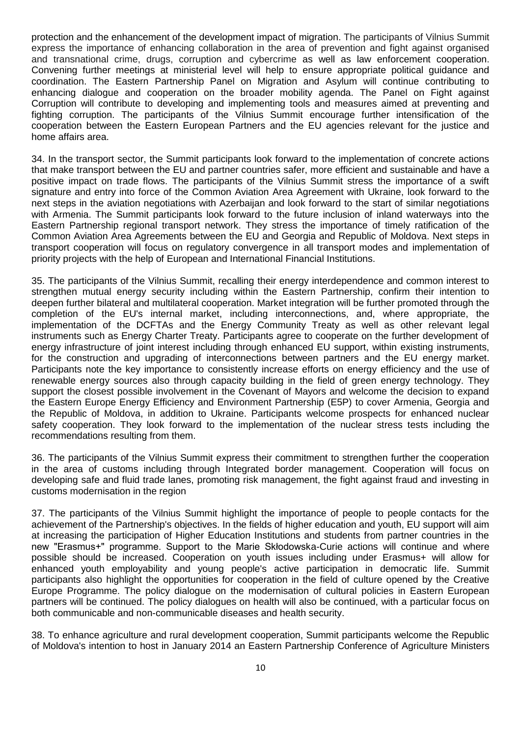protection and the enhancement of the development impact of migration. The participants of Vilnius Summit express the importance of enhancing collaboration in the area of prevention and fight against organised and transnational crime, drugs, corruption and cybercrime as well as law enforcement cooperation. Convening further meetings at ministerial level will help to ensure appropriate political guidance and coordination. The Eastern Partnership Panel on Migration and Asylum will continue contributing to enhancing dialogue and cooperation on the broader mobility agenda. The Panel on Fight against Corruption will contribute to developing and implementing tools and measures aimed at preventing and fighting corruption. The participants of the Vilnius Summit encourage further intensification of the cooperation between the Eastern European Partners and the EU agencies relevant for the justice and home affairs area.

34. In the transport sector, the Summit participants look forward to the implementation of concrete actions that make transport between the EU and partner countries safer, more efficient and sustainable and have a positive impact on trade flows. The participants of the Vilnius Summit stress the importance of a swift signature and entry into force of the Common Aviation Area Agreement with Ukraine, look forward to the next steps in the aviation negotiations with Azerbaijan and look forward to the start of similar negotiations with Armenia. The Summit participants look forward to the future inclusion of inland waterways into the Eastern Partnership regional transport network. They stress the importance of timely ratification of the Common Aviation Area Agreements between the EU and Georgia and Republic of Moldova. Next steps in transport cooperation will focus on regulatory convergence in all transport modes and implementation of priority projects with the help of European and International Financial Institutions.

35. The participants of the Vilnius Summit, recalling their energy interdependence and common interest to strengthen mutual energy security including within the Eastern Partnership, confirm their intention to deepen further bilateral and multilateral cooperation. Market integration will be further promoted through the completion of the EU's internal market, including interconnections, and, where appropriate, the implementation of the DCFTAs and the Energy Community Treaty as well as other relevant legal instruments such as Energy Charter Treaty. Participants agree to cooperate on the further development of energy infrastructure of joint interest including through enhanced EU support, within existing instruments, for the construction and upgrading of interconnections between partners and the EU energy market. Participants note the key importance to consistently increase efforts on energy efficiency and the use of renewable energy sources also through capacity building in the field of green energy technology. They support the closest possible involvement in the Covenant of Mayors and welcome the decision to expand the Eastern Europe Energy Efficiency and Environment Partnership (E5P) to cover Armenia, Georgia and the Republic of Moldova, in addition to Ukraine. Participants welcome prospects for enhanced nuclear safety cooperation. They look forward to the implementation of the nuclear stress tests including the recommendations resulting from them.

36. The participants of the Vilnius Summit express their commitment to strengthen further the cooperation in the area of customs including through Integrated border management. Cooperation will focus on developing safe and fluid trade lanes, promoting risk management, the fight against fraud and investing in customs modernisation in the region

37. The participants of the Vilnius Summit highlight the importance of people to people contacts for the achievement of the Partnership's objectives. In the fields of higher education and youth, EU support will aim at increasing the participation of Higher Education Institutions and students from partner countries in the new "Erasmus+" programme. Support to the Marie Skłodowska-Curie actions will continue and where possible should be increased. Cooperation on youth issues including under Erasmus+ will allow for enhanced youth employability and young people's active participation in democratic life. Summit participants also highlight the opportunities for cooperation in the field of culture opened by the Creative Europe Programme. The policy dialogue on the modernisation of cultural policies in Eastern European partners will be continued. The policy dialogues on health will also be continued, with a particular focus on both communicable and non-communicable diseases and health security.

38. To enhance agriculture and rural development cooperation, Summit participants welcome the Republic of Moldova's intention to host in January 2014 an Eastern Partnership Conference of Agriculture Ministers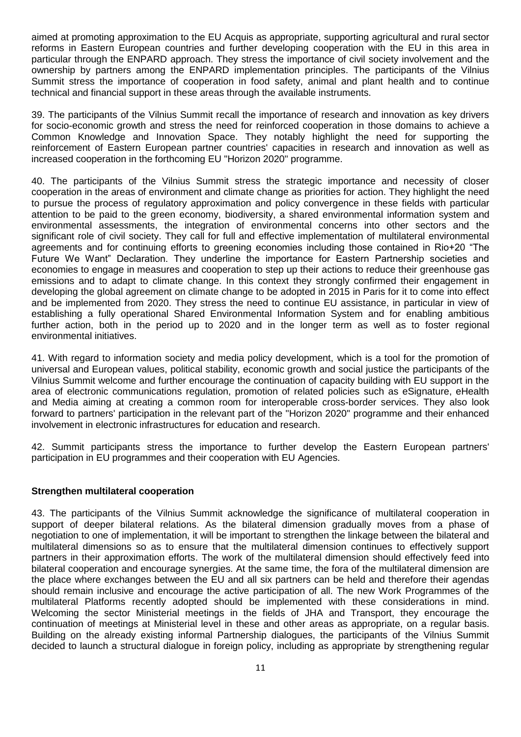aimed at promoting approximation to the EU Acquis as appropriate, supporting agricultural and rural sector reforms in Eastern European countries and further developing cooperation with the EU in this area in particular through the ENPARD approach. They stress the importance of civil society involvement and the ownership by partners among the ENPARD implementation principles. The participants of the Vilnius Summit stress the importance of cooperation in food safety, animal and plant health and to continue technical and financial support in these areas through the available instruments.

39. The participants of the Vilnius Summit recall the importance of research and innovation as key drivers for socio-economic growth and stress the need for reinforced cooperation in those domains to achieve a Common Knowledge and Innovation Space. They notably highlight the need for supporting the reinforcement of Eastern European partner countries' capacities in research and innovation as well as increased cooperation in the forthcoming EU "Horizon 2020" programme.

40. The participants of the Vilnius Summit stress the strategic importance and necessity of closer cooperation in the areas of environment and climate change as priorities for action. They highlight the need to pursue the process of regulatory approximation and policy convergence in these fields with particular attention to be paid to the green economy, biodiversity, a shared environmental information system and environmental assessments, the integration of environmental concerns into other sectors and the significant role of civil society. They call for full and effective implementation of multilateral environmental agreements and for continuing efforts to greening economies including those contained in Rio+20 "The Future We Want" Declaration. They underline the importance for Eastern Partnership societies and economies to engage in measures and cooperation to step up their actions to reduce their greenhouse gas emissions and to adapt to climate change. In this context they strongly confirmed their engagement in developing the global agreement on climate change to be adopted in 2015 in Paris for it to come into effect and be implemented from 2020. They stress the need to continue EU assistance, in particular in view of establishing a fully operational Shared Environmental Information System and for enabling ambitious further action, both in the period up to 2020 and in the longer term as well as to foster regional environmental initiatives.

41. With regard to information society and media policy development, which is a tool for the promotion of universal and European values, political stability, economic growth and social justice the participants of the Vilnius Summit welcome and further encourage the continuation of capacity building with EU support in the area of electronic communications regulation, promotion of related policies such as eSignature, eHealth and Media aiming at creating a common room for interoperable cross-border services. They also look forward to partners' participation in the relevant part of the "Horizon 2020" programme and their enhanced involvement in electronic infrastructures for education and research.

42. Summit participants stress the importance to further develop the Eastern European partners' participation in EU programmes and their cooperation with EU Agencies.

#### **Strengthen multilateral cooperation**

43. The participants of the Vilnius Summit acknowledge the significance of multilateral cooperation in support of deeper bilateral relations. As the bilateral dimension gradually moves from a phase of negotiation to one of implementation, it will be important to strengthen the linkage between the bilateral and multilateral dimensions so as to ensure that the multilateral dimension continues to effectively support partners in their approximation efforts. The work of the multilateral dimension should effectively feed into bilateral cooperation and encourage synergies. At the same time, the fora of the multilateral dimension are the place where exchanges between the EU and all six partners can be held and therefore their agendas should remain inclusive and encourage the active participation of all. The new Work Programmes of the multilateral Platforms recently adopted should be implemented with these considerations in mind. Welcoming the sector Ministerial meetings in the fields of JHA and Transport, they encourage the continuation of meetings at Ministerial level in these and other areas as appropriate, on a regular basis. Building on the already existing informal Partnership dialogues, the participants of the Vilnius Summit decided to launch a structural dialogue in foreign policy, including as appropriate by strengthening regular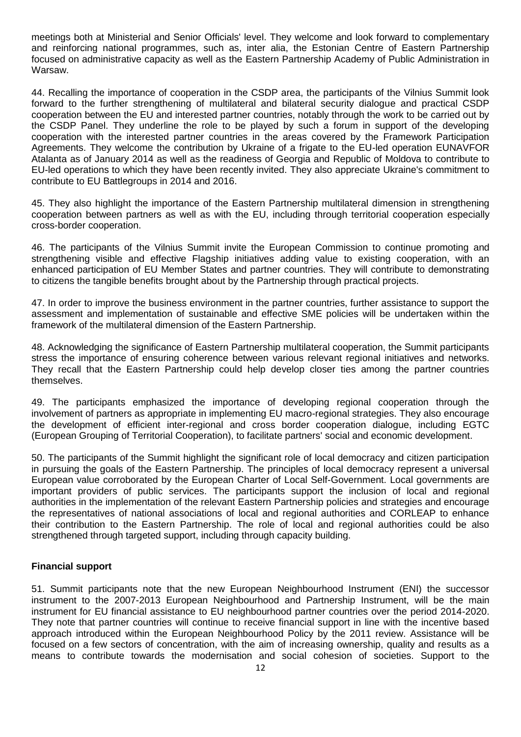meetings both at Ministerial and Senior Officials' level. They welcome and look forward to complementary and reinforcing national programmes, such as, inter alia, the Estonian Centre of Eastern Partnership focused on administrative capacity as well as the Eastern Partnership Academy of Public Administration in Warsaw.

44. Recalling the importance of cooperation in the CSDP area, the participants of the Vilnius Summit look forward to the further strengthening of multilateral and bilateral security dialogue and practical CSDP cooperation between the EU and interested partner countries, notably through the work to be carried out by the CSDP Panel. They underline the role to be played by such a forum in support of the developing cooperation with the interested partner countries in the areas covered by the Framework Participation Agreements. They welcome the contribution by Ukraine of a frigate to the EU-led operation EUNAVFOR Atalanta as of January 2014 as well as the readiness of Georgia and Republic of Moldova to contribute to EU-led operations to which they have been recently invited. They also appreciate Ukraine's commitment to contribute to EU Battlegroups in 2014 and 2016.

45. They also highlight the importance of the Eastern Partnership multilateral dimension in strengthening cooperation between partners as well as with the EU, including through territorial cooperation especially cross-border cooperation.

46. The participants of the Vilnius Summit invite the European Commission to continue promoting and strengthening visible and effective Flagship initiatives adding value to existing cooperation, with an enhanced participation of EU Member States and partner countries. They will contribute to demonstrating to citizens the tangible benefits brought about by the Partnership through practical projects.

47. In order to improve the business environment in the partner countries, further assistance to support the assessment and implementation of sustainable and effective SME policies will be undertaken within the framework of the multilateral dimension of the Eastern Partnership.

48. Acknowledging the significance of Eastern Partnership multilateral cooperation, the Summit participants stress the importance of ensuring coherence between various relevant regional initiatives and networks. They recall that the Eastern Partnership could help develop closer ties among the partner countries themselves.

49. The participants emphasized the importance of developing regional cooperation through the involvement of partners as appropriate in implementing EU macro-regional strategies. They also encourage the development of efficient inter-regional and cross border cooperation dialogue, including EGTC (European Grouping of Territorial Cooperation), to facilitate partners' social and economic development.

50. The participants of the Summit highlight the significant role of local democracy and citizen participation in pursuing the goals of the Eastern Partnership. The principles of local democracy represent a universal European value corroborated by the European Charter of Local Self-Government. Local governments are important providers of public services. The participants support the inclusion of local and regional authorities in the implementation of the relevant Eastern Partnership policies and strategies and encourage the representatives of national associations of local and regional authorities and CORLEAP to enhance their contribution to the Eastern Partnership. The role of local and regional authorities could be also strengthened through targeted support, including through capacity building.

#### **Financial support**

51. Summit participants note that the new European Neighbourhood Instrument (ENI) the successor instrument to the 2007-2013 European Neighbourhood and Partnership Instrument, will be the main instrument for EU financial assistance to EU neighbourhood partner countries over the period 2014-2020. They note that partner countries will continue to receive financial support in line with the incentive based approach introduced within the European Neighbourhood Policy by the 2011 review. Assistance will be focused on a few sectors of concentration, with the aim of increasing ownership, quality and results as a means to contribute towards the modernisation and social cohesion of societies. Support to the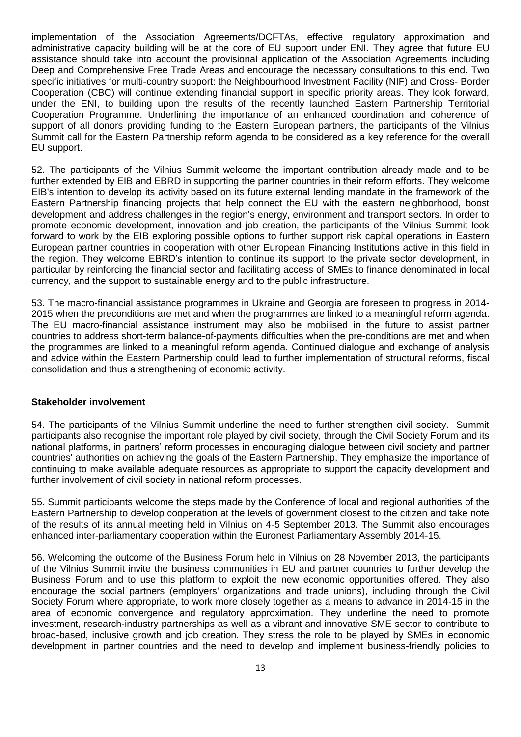implementation of the Association Agreements/DCFTAs, effective regulatory approximation and administrative capacity building will be at the core of EU support under ENI. They agree that future EU assistance should take into account the provisional application of the Association Agreements including Deep and Comprehensive Free Trade Areas and encourage the necessary consultations to this end. Two specific initiatives for multi-country support: the Neighbourhood Investment Facility (NIF) and Cross- Border Cooperation (CBC) will continue extending financial support in specific priority areas. They look forward, under the ENI, to building upon the results of the recently launched Eastern Partnership Territorial Cooperation Programme. Underlining the importance of an enhanced coordination and coherence of support of all donors providing funding to the Eastern European partners, the participants of the Vilnius Summit call for the Eastern Partnership reform agenda to be considered as a key reference for the overall EU support.

52. The participants of the Vilnius Summit welcome the important contribution already made and to be further extended by EIB and EBRD in supporting the partner countries in their reform efforts. They welcome EIB's intention to develop its activity based on its future external lending mandate in the framework of the Eastern Partnership financing projects that help connect the EU with the eastern neighborhood, boost development and address challenges in the region's energy, environment and transport sectors. In order to promote economic development, innovation and job creation, the participants of the Vilnius Summit look forward to work by the EIB exploring possible options to further support risk capital operations in Eastern European partner countries in cooperation with other European Financing Institutions active in this field in the region. They welcome EBRD's intention to continue its support to the private sector development, in particular by reinforcing the financial sector and facilitating access of SMEs to finance denominated in local currency, and the support to sustainable energy and to the public infrastructure.

53. The macro-financial assistance programmes in Ukraine and Georgia are foreseen to progress in 2014- 2015 when the preconditions are met and when the programmes are linked to a meaningful reform agenda. The EU macro-financial assistance instrument may also be mobilised in the future to assist partner countries to address short-term balance-of-payments difficulties when the pre-conditions are met and when the programmes are linked to a meaningful reform agenda. Continued dialogue and exchange of analysis and advice within the Eastern Partnership could lead to further implementation of structural reforms, fiscal consolidation and thus a strengthening of economic activity.

#### **Stakeholder involvement**

54. The participants of the Vilnius Summit underline the need to further strengthen civil society. Summit participants also recognise the important role played by civil society, through the Civil Society Forum and its national platforms, in partners' reform processes in encouraging dialogue between civil society and partner countries' authorities on achieving the goals of the Eastern Partnership. They emphasize the importance of continuing to make available adequate resources as appropriate to support the capacity development and further involvement of civil society in national reform processes.

55. Summit participants welcome the steps made by the Conference of local and regional authorities of the Eastern Partnership to develop cooperation at the levels of government closest to the citizen and take note of the results of its annual meeting held in Vilnius on 4-5 September 2013. The Summit also encourages enhanced inter-parliamentary cooperation within the Euronest Parliamentary Assembly 2014-15.

56. Welcoming the outcome of the Business Forum held in Vilnius on 28 November 2013, the participants of the Vilnius Summit invite the business communities in EU and partner countries to further develop the Business Forum and to use this platform to exploit the new economic opportunities offered. They also encourage the social partners (employers' organizations and trade unions), including through the Civil Society Forum where appropriate, to work more closely together as a means to advance in 2014-15 in the area of economic convergence and regulatory approximation. They underline the need to promote investment, research-industry partnerships as well as a vibrant and innovative SME sector to contribute to broad-based, inclusive growth and job creation. They stress the role to be played by SMEs in economic development in partner countries and the need to develop and implement business-friendly policies to